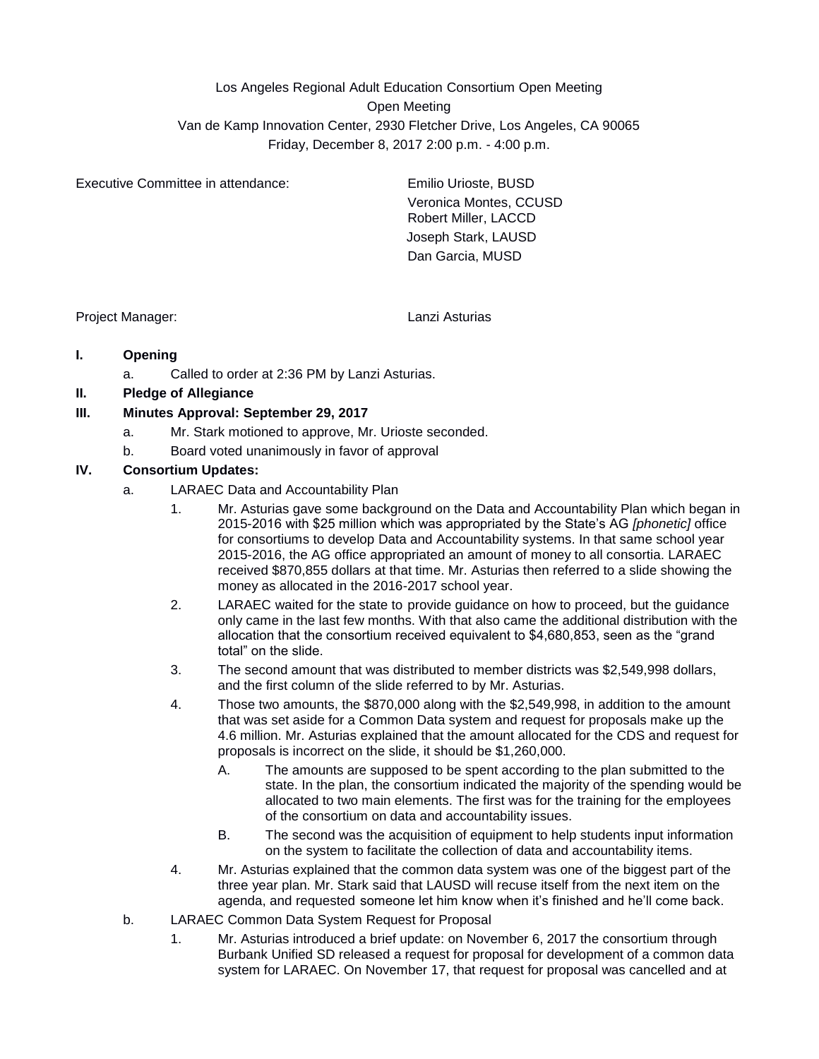Los Angeles Regional Adult Education Consortium Open Meeting Open Meeting Van de Kamp Innovation Center, 2930 Fletcher Drive, Los Angeles, CA 90065 Friday, December 8, 2017 2:00 p.m. - 4:00 p.m.

Executive Committee in attendance: Emilio Urioste, BUSD

Veronica Montes, CCUSD Robert Miller, LACCD Joseph Stark, LAUSD Dan Garcia, MUSD

Project Manager: Lanzi Asturias

## **I. Opening**

a. Called to order at 2:36 PM by Lanzi Asturias.

## **II. Pledge of Allegiance**

#### **III. Minutes Approval: September 29, 2017**

- a. Mr. Stark motioned to approve, Mr. Urioste seconded.
- b. Board voted unanimously in favor of approval

### **IV. Consortium Updates:**

- a. LARAEC Data and Accountability Plan
	- 1. Mr. Asturias gave some background on the Data and Accountability Plan which began in 2015-2016 with \$25 million which was appropriated by the State's AG *[phonetic]* office for consortiums to develop Data and Accountability systems. In that same school year 2015-2016, the AG office appropriated an amount of money to all consortia. LARAEC received \$870,855 dollars at that time. Mr. Asturias then referred to a slide showing the money as allocated in the 2016-2017 school year.
	- 2. LARAEC waited for the state to provide guidance on how to proceed, but the guidance only came in the last few months. With that also came the additional distribution with the allocation that the consortium received equivalent to \$4,680,853, seen as the "grand total" on the slide.
	- 3. The second amount that was distributed to member districts was \$2,549,998 dollars, and the first column of the slide referred to by Mr. Asturias.
	- 4. Those two amounts, the \$870,000 along with the \$2,549,998, in addition to the amount that was set aside for a Common Data system and request for proposals make up the 4.6 million. Mr. Asturias explained that the amount allocated for the CDS and request for proposals is incorrect on the slide, it should be \$1,260,000.
		- A. The amounts are supposed to be spent according to the plan submitted to the state. In the plan, the consortium indicated the majority of the spending would be allocated to two main elements. The first was for the training for the employees of the consortium on data and accountability issues.
		- B. The second was the acquisition of equipment to help students input information on the system to facilitate the collection of data and accountability items.
	- 4. Mr. Asturias explained that the common data system was one of the biggest part of the three year plan. Mr. Stark said that LAUSD will recuse itself from the next item on the agenda, and requested someone let him know when it's finished and he'll come back.
- b. LARAEC Common Data System Request for Proposal
	- 1. Mr. Asturias introduced a brief update: on November 6, 2017 the consortium through Burbank Unified SD released a request for proposal for development of a common data system for LARAEC. On November 17, that request for proposal was cancelled and at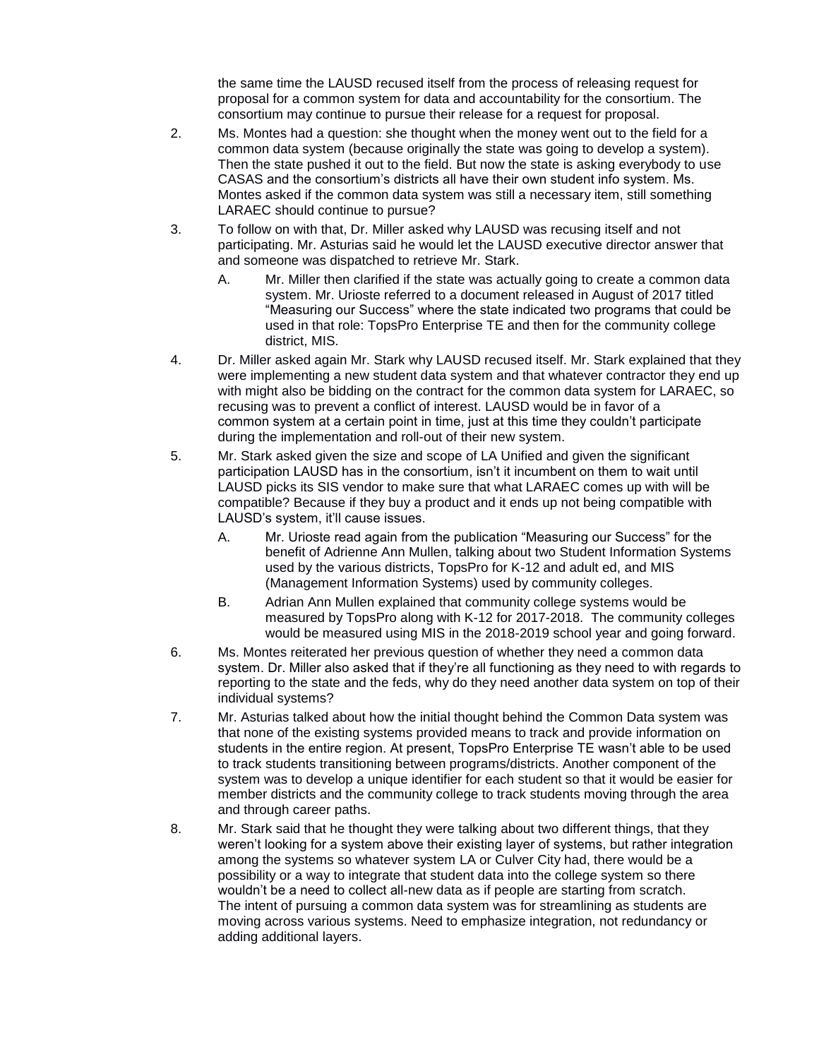the same time the LAUSD recused itself from the process of releasing request for proposal for a common system for data and accountability for the consortium. The consortium may continue to pursue their release for a request for proposal.

- 2. Ms. Montes had a question: she thought when the money went out to the field for a common data system (because originally the state was going to develop a system). Then the state pushed it out to the field. But now the state is asking everybody to use CASAS and the consortium's districts all have their own student info system. Ms. Montes asked if the common data system was still a necessary item, still something LARAEC should continue to pursue?
- 3. To follow on with that, Dr. Miller asked why LAUSD was recusing itself and not participating. Mr. Asturias said he would let the LAUSD executive director answer that and someone was dispatched to retrieve Mr. Stark.
	- A. Mr. Miller then clarified if the state was actually going to create a common data system. Mr. Urioste referred to a document released in August of 2017 titled "Measuring our Success" where the state indicated two programs that could be used in that role: TopsPro Enterprise TE and then for the community college district, MIS.
- 4. Dr. Miller asked again Mr. Stark why LAUSD recused itself. Mr. Stark explained that they were implementing a new student data system and that whatever contractor they end up with might also be bidding on the contract for the common data system for LARAEC, so recusing was to prevent a conflict of interest. LAUSD would be in favor of a common system at a certain point in time, just at this time they couldn't participate during the implementation and roll-out of their new system.
- 5. Mr. Stark asked given the size and scope of LA Unified and given the significant participation LAUSD has in the consortium, isn't it incumbent on them to wait until LAUSD picks its SIS vendor to make sure that what LARAEC comes up with will be compatible? Because if they buy a product and it ends up not being compatible with LAUSD's system, it'll cause issues.
	- A. Mr. Urioste read again from the publication "Measuring our Success" for the benefit of Adrienne Ann Mullen, talking about two Student Information Systems used by the various districts, TopsPro for K-12 and adult ed, and MIS (Management Information Systems) used by community colleges.
	- B. Adrian Ann Mullen explained that community college systems would be measured by TopsPro along with K-12 for 2017-2018. The community colleges would be measured using MIS in the 2018-2019 school year and going forward.
- 6. Ms. Montes reiterated her previous question of whether they need a common data system. Dr. Miller also asked that if they're all functioning as they need to with regards to reporting to the state and the feds, why do they need another data system on top of their individual systems?
- 7. Mr. Asturias talked about how the initial thought behind the Common Data system was that none of the existing systems provided means to track and provide information on students in the entire region. At present, TopsPro Enterprise TE wasn't able to be used to track students transitioning between programs/districts. Another component of the system was to develop a unique identifier for each student so that it would be easier for member districts and the community college to track students moving through the area and through career paths.
- 8. Mr. Stark said that he thought they were talking about two different things, that they weren't looking for a system above their existing layer of systems, but rather integration among the systems so whatever system LA or Culver City had, there would be a possibility or a way to integrate that student data into the college system so there wouldn't be a need to collect all-new data as if people are starting from scratch. The intent of pursuing a common data system was for streamlining as students are moving across various systems. Need to emphasize integration, not redundancy or adding additional layers.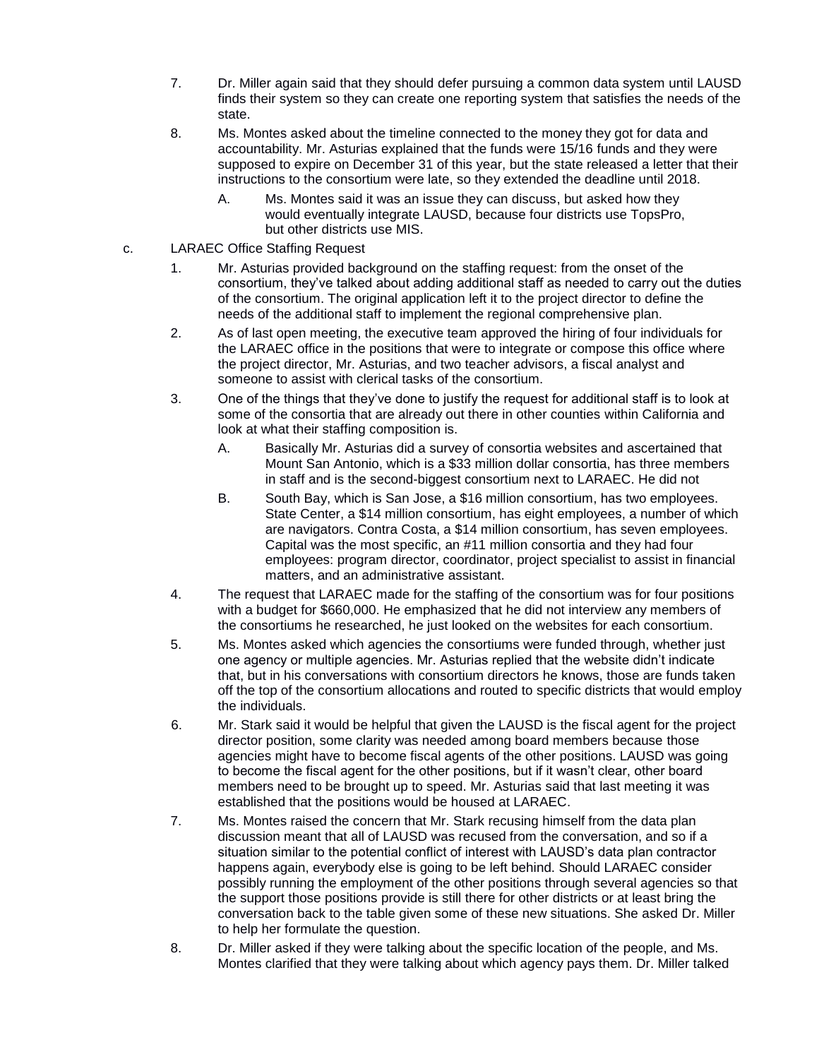- 7. Dr. Miller again said that they should defer pursuing a common data system until LAUSD finds their system so they can create one reporting system that satisfies the needs of the state.
- 8. Ms. Montes asked about the timeline connected to the money they got for data and accountability. Mr. Asturias explained that the funds were 15/16 funds and they were supposed to expire on December 31 of this year, but the state released a letter that their instructions to the consortium were late, so they extended the deadline until 2018.
	- A. Ms. Montes said it was an issue they can discuss, but asked how they would eventually integrate LAUSD, because four districts use TopsPro, but other districts use MIS.
- c. LARAEC Office Staffing Request
	- 1. Mr. Asturias provided background on the staffing request: from the onset of the consortium, they've talked about adding additional staff as needed to carry out the duties of the consortium. The original application left it to the project director to define the needs of the additional staff to implement the regional comprehensive plan.
	- 2. As of last open meeting, the executive team approved the hiring of four individuals for the LARAEC office in the positions that were to integrate or compose this office where the project director, Mr. Asturias, and two teacher advisors, a fiscal analyst and someone to assist with clerical tasks of the consortium.
	- 3. One of the things that they've done to justify the request for additional staff is to look at some of the consortia that are already out there in other counties within California and look at what their staffing composition is.
		- A. Basically Mr. Asturias did a survey of consortia websites and ascertained that Mount San Antonio, which is a \$33 million dollar consortia, has three members in staff and is the second-biggest consortium next to LARAEC. He did not
		- B. South Bay, which is San Jose, a \$16 million consortium, has two employees. State Center, a \$14 million consortium, has eight employees, a number of which are navigators. Contra Costa, a \$14 million consortium, has seven employees. Capital was the most specific, an #11 million consortia and they had four employees: program director, coordinator, project specialist to assist in financial matters, and an administrative assistant.
	- 4. The request that LARAEC made for the staffing of the consortium was for four positions with a budget for \$660,000. He emphasized that he did not interview any members of the consortiums he researched, he just looked on the websites for each consortium.
	- 5. Ms. Montes asked which agencies the consortiums were funded through, whether just one agency or multiple agencies. Mr. Asturias replied that the website didn't indicate that, but in his conversations with consortium directors he knows, those are funds taken off the top of the consortium allocations and routed to specific districts that would employ the individuals.
	- 6. Mr. Stark said it would be helpful that given the LAUSD is the fiscal agent for the project director position, some clarity was needed among board members because those agencies might have to become fiscal agents of the other positions. LAUSD was going to become the fiscal agent for the other positions, but if it wasn't clear, other board members need to be brought up to speed. Mr. Asturias said that last meeting it was established that the positions would be housed at LARAEC.
	- 7. Ms. Montes raised the concern that Mr. Stark recusing himself from the data plan discussion meant that all of LAUSD was recused from the conversation, and so if a situation similar to the potential conflict of interest with LAUSD's data plan contractor happens again, everybody else is going to be left behind. Should LARAEC consider possibly running the employment of the other positions through several agencies so that the support those positions provide is still there for other districts or at least bring the conversation back to the table given some of these new situations. She asked Dr. Miller to help her formulate the question.
	- 8. Dr. Miller asked if they were talking about the specific location of the people, and Ms. Montes clarified that they were talking about which agency pays them. Dr. Miller talked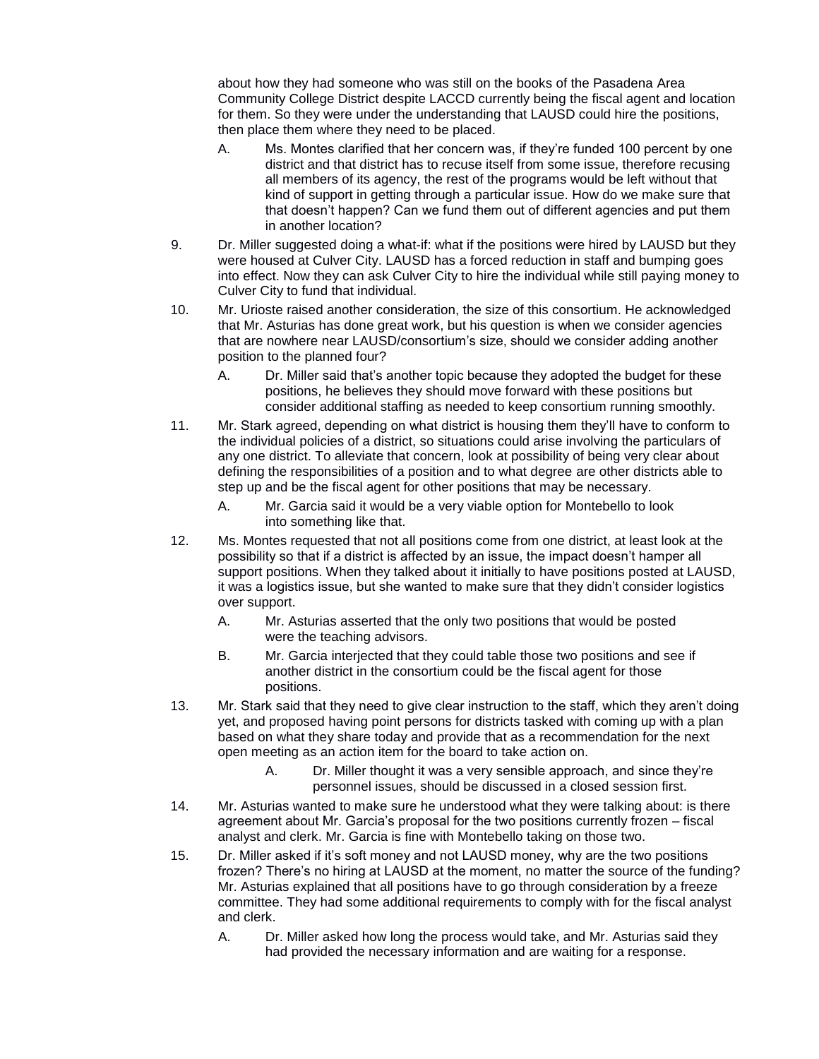about how they had someone who was still on the books of the Pasadena Area Community College District despite LACCD currently being the fiscal agent and location for them. So they were under the understanding that LAUSD could hire the positions, then place them where they need to be placed.

- A. Ms. Montes clarified that her concern was, if they're funded 100 percent by one district and that district has to recuse itself from some issue, therefore recusing all members of its agency, the rest of the programs would be left without that kind of support in getting through a particular issue. How do we make sure that that doesn't happen? Can we fund them out of different agencies and put them in another location?
- 9. Dr. Miller suggested doing a what-if: what if the positions were hired by LAUSD but they were housed at Culver City. LAUSD has a forced reduction in staff and bumping goes into effect. Now they can ask Culver City to hire the individual while still paying money to Culver City to fund that individual.
- 10. Mr. Urioste raised another consideration, the size of this consortium. He acknowledged that Mr. Asturias has done great work, but his question is when we consider agencies that are nowhere near LAUSD/consortium's size, should we consider adding another position to the planned four?
	- A. Dr. Miller said that's another topic because they adopted the budget for these positions, he believes they should move forward with these positions but consider additional staffing as needed to keep consortium running smoothly.
- 11. Mr. Stark agreed, depending on what district is housing them they'll have to conform to the individual policies of a district, so situations could arise involving the particulars of any one district. To alleviate that concern, look at possibility of being very clear about defining the responsibilities of a position and to what degree are other districts able to step up and be the fiscal agent for other positions that may be necessary.
	- A. Mr. Garcia said it would be a very viable option for Montebello to look into something like that.
- 12. Ms. Montes requested that not all positions come from one district, at least look at the possibility so that if a district is affected by an issue, the impact doesn't hamper all support positions. When they talked about it initially to have positions posted at LAUSD, it was a logistics issue, but she wanted to make sure that they didn't consider logistics over support.
	- A. Mr. Asturias asserted that the only two positions that would be posted were the teaching advisors.
	- B. Mr. Garcia interjected that they could table those two positions and see if another district in the consortium could be the fiscal agent for those positions.
- 13. Mr. Stark said that they need to give clear instruction to the staff, which they aren't doing yet, and proposed having point persons for districts tasked with coming up with a plan based on what they share today and provide that as a recommendation for the next open meeting as an action item for the board to take action on.
	- A. Dr. Miller thought it was a very sensible approach, and since they're personnel issues, should be discussed in a closed session first.
- 14. Mr. Asturias wanted to make sure he understood what they were talking about: is there agreement about Mr. Garcia's proposal for the two positions currently frozen – fiscal analyst and clerk. Mr. Garcia is fine with Montebello taking on those two.
- 15. Dr. Miller asked if it's soft money and not LAUSD money, why are the two positions frozen? There's no hiring at LAUSD at the moment, no matter the source of the funding? Mr. Asturias explained that all positions have to go through consideration by a freeze committee. They had some additional requirements to comply with for the fiscal analyst and clerk.
	- A. Dr. Miller asked how long the process would take, and Mr. Asturias said they had provided the necessary information and are waiting for a response.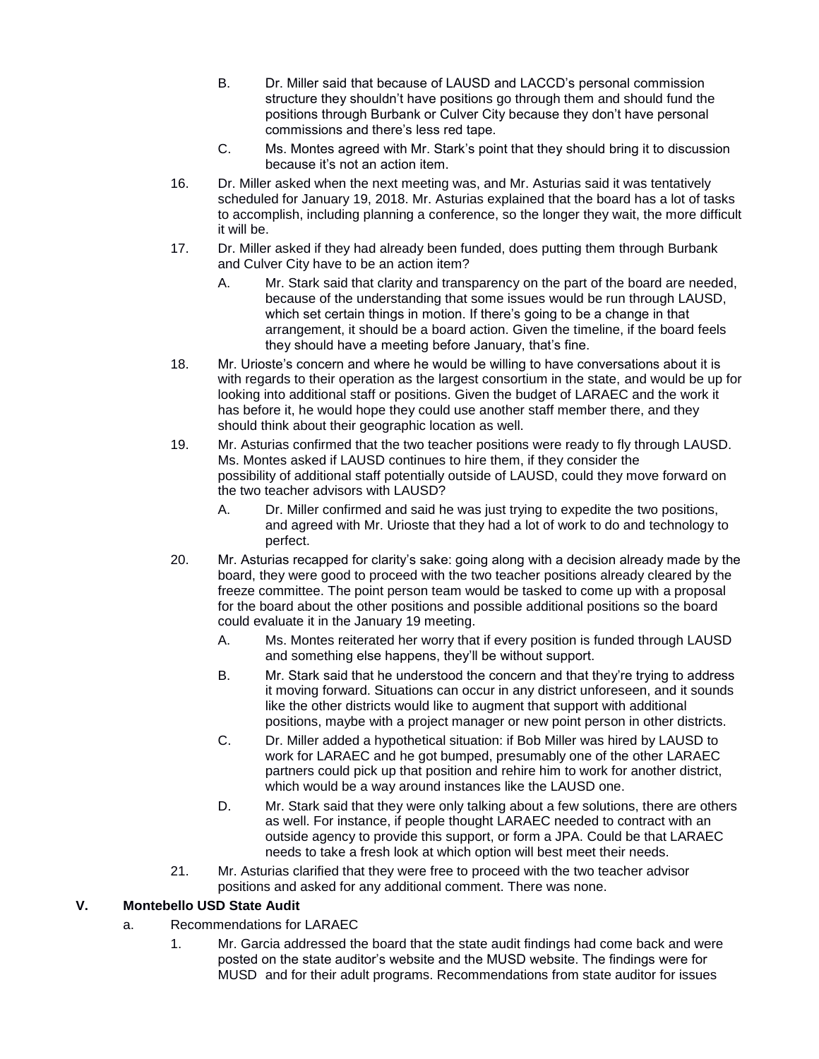- B. Dr. Miller said that because of LAUSD and LACCD's personal commission structure they shouldn't have positions go through them and should fund the positions through Burbank or Culver City because they don't have personal commissions and there's less red tape.
- C. Ms. Montes agreed with Mr. Stark's point that they should bring it to discussion because it's not an action item.
- 16. Dr. Miller asked when the next meeting was, and Mr. Asturias said it was tentatively scheduled for January 19, 2018. Mr. Asturias explained that the board has a lot of tasks to accomplish, including planning a conference, so the longer they wait, the more difficult it will be.
- 17. Dr. Miller asked if they had already been funded, does putting them through Burbank and Culver City have to be an action item?
	- A. Mr. Stark said that clarity and transparency on the part of the board are needed, because of the understanding that some issues would be run through LAUSD, which set certain things in motion. If there's going to be a change in that arrangement, it should be a board action. Given the timeline, if the board feels they should have a meeting before January, that's fine.
- 18. Mr. Urioste's concern and where he would be willing to have conversations about it is with regards to their operation as the largest consortium in the state, and would be up for looking into additional staff or positions. Given the budget of LARAEC and the work it has before it, he would hope they could use another staff member there, and they should think about their geographic location as well.
- 19. Mr. Asturias confirmed that the two teacher positions were ready to fly through LAUSD. Ms. Montes asked if LAUSD continues to hire them, if they consider the possibility of additional staff potentially outside of LAUSD, could they move forward on the two teacher advisors with LAUSD?
	- A. Dr. Miller confirmed and said he was just trying to expedite the two positions, and agreed with Mr. Urioste that they had a lot of work to do and technology to perfect.
- 20. Mr. Asturias recapped for clarity's sake: going along with a decision already made by the board, they were good to proceed with the two teacher positions already cleared by the freeze committee. The point person team would be tasked to come up with a proposal for the board about the other positions and possible additional positions so the board could evaluate it in the January 19 meeting.
	- A. Ms. Montes reiterated her worry that if every position is funded through LAUSD and something else happens, they'll be without support.
	- B. Mr. Stark said that he understood the concern and that they're trying to address it moving forward. Situations can occur in any district unforeseen, and it sounds like the other districts would like to augment that support with additional positions, maybe with a project manager or new point person in other districts.
	- C. Dr. Miller added a hypothetical situation: if Bob Miller was hired by LAUSD to work for LARAEC and he got bumped, presumably one of the other LARAEC partners could pick up that position and rehire him to work for another district, which would be a way around instances like the LAUSD one.
	- D. Mr. Stark said that they were only talking about a few solutions, there are others as well. For instance, if people thought LARAEC needed to contract with an outside agency to provide this support, or form a JPA. Could be that LARAEC needs to take a fresh look at which option will best meet their needs.
- 21. Mr. Asturias clarified that they were free to proceed with the two teacher advisor positions and asked for any additional comment. There was none.

# **V. Montebello USD State Audit**

- a. Recommendations for LARAEC
	- 1. Mr. Garcia addressed the board that the state audit findings had come back and were posted on the state auditor's website and the MUSD website. The findings were for MUSD and for their adult programs. Recommendations from state auditor for issues